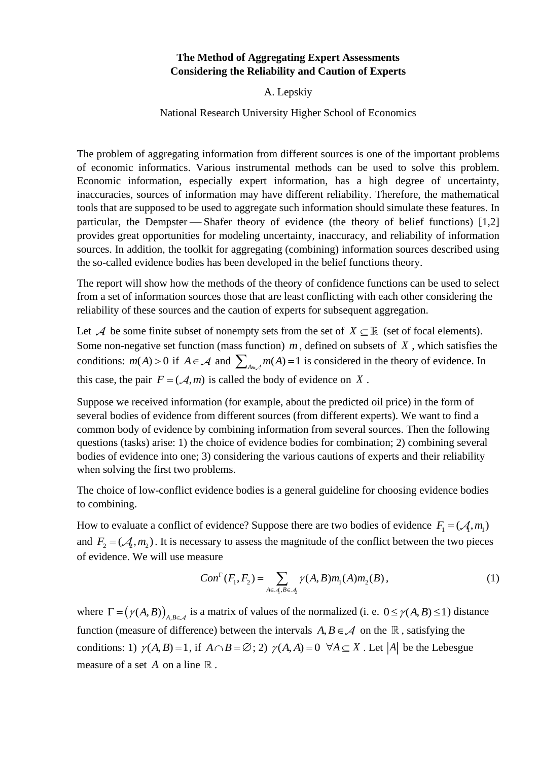## **The Method of Aggregating Expert Assessments Considering the Reliability and Caution of Experts**

A. Lepskiy

## National Research University Higher School of Economics

The problem of aggregating information from different sources is one of the important problems of economic informatics. Various instrumental methods can be used to solve this problem. Economic information, especially expert information, has a high degree of uncertainty, inaccuracies, sources of information may have different reliability. Therefore, the mathematical tools that are supposed to be used to aggregate such information should simulate these features. In particular, the Dempster  $\overline{\phantom{a}}$  Shafer theory of evidence (the theory of belief functions) [1,2] provides great opportunities for modeling uncertainty, inaccuracy, and reliability of information sources. In addition, the toolkit for aggregating (combining) information sources described using the so-called evidence bodies has been developed in the belief functions theory.

The report will show how the methods of the theory of confidence functions can be used to select from a set of information sources those that are least conflicting with each other considering the reliability of these sources and the caution of experts for subsequent aggregation.

Let A be some finite subset of nonempty sets from the set of  $X \subseteq \mathbb{R}$  (set of focal elements). Some non-negative set function (mass function)  $m$ , defined on subsets of  $X$ , which satisfies the conditions:  $m(A) > 0$  if  $A \in \mathcal{A}$  and  $\sum_{A \in \mathcal{A}} m(A) = 1$  is considered in the theory of evidence. In this case, the pair  $F = (A, m)$  is called the body of evidence on X.

Suppose we received information (for example, about the predicted oil price) in the form of several bodies of evidence from different sources (from different experts). We want to find a common body of evidence by combining information from several sources. Then the following questions (tasks) arise: 1) the choice of evidence bodies for combination; 2) combining several bodies of evidence into one; 3) considering the various cautions of experts and their reliability when solving the first two problems.

The choice of low-conflict evidence bodies is a general guideline for choosing evidence bodies to combining.

How to evaluate a conflict of evidence? Suppose there are two bodies of evidence  $F_1 = (A, m_1)$ and  $F_2 = (A_2, m_2)$ . It is necessary to assess the magnitude of the conflict between the two pieces of evidence. We will use measure

$$
Con^{\Gamma}(F_1, F_2) = \sum_{A \in \mathcal{A}, B \in \mathcal{A}_2} \gamma(A, B) m_1(A) m_2(B), \qquad (1)
$$

where  $\Gamma = (\gamma(A, B))_{A, B \in \mathcal{A}}$  is a matrix of values of the normalized (i. e.  $0 \le \gamma(A, B) \le 1$ ) distance function (measure of difference) between the intervals  $A, B \in \mathcal{A}$  on the  $\mathbb{R}$ , satisfying the conditions: 1)  $\gamma(A, B) = 1$ , if  $A \cap B = \emptyset$ ; 2)  $\gamma(A, A) = 0 \ \forall A \subseteq X$ . Let |A| be the Lebesgue measure of a set  $A$  on a line  $\mathbb R$ .